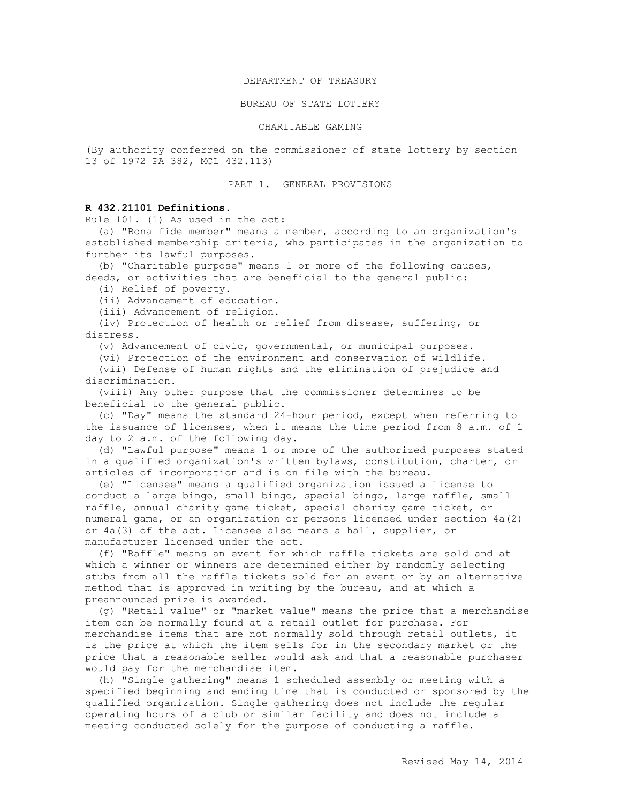### DEPARTMENT OF TREASURY

#### BUREAU OF STATE LOTTERY

### CHARITABLE GAMING

(By authority conferred on the commissioner of state lottery by section 13 of 1972 PA 382, MCL 432.113)

## PART 1**.** GENERAL PROVISIONS

# **R 432.21101 Definitions.**

Rule 101. (1) As used in the act:

 (a) "Bona fide member" means a member, according to an organization's established membership criteria, who participates in the organization to further its lawful purposes.

 (b) "Charitable purpose" means 1 or more of the following causes, deeds, or activities that are beneficial to the general public:

(i) Relief of poverty.

(ii) Advancement of education.

(iii) Advancement of religion.

 (iv) Protection of health or relief from disease, suffering, or distress.

(v) Advancement of civic, governmental, or municipal purposes.

(vi) Protection of the environment and conservation of wildlife.

 (vii) Defense of human rights and the elimination of prejudice and discrimination.

 (viii) Any other purpose that the commissioner determines to be beneficial to the general public.

 (c) "Day" means the standard 24-hour period, except when referring to the issuance of licenses, when it means the time period from 8 a.m. of 1 day to 2 a.m. of the following day.

 (d) "Lawful purpose" means 1 or more of the authorized purposes stated in a qualified organization's written bylaws, constitution, charter, or articles of incorporation and is on file with the bureau.

 (e) "Licensee" means a qualified organization issued a license to conduct a large bingo, small bingo, special bingo, large raffle, small raffle, annual charity game ticket, special charity game ticket, or numeral game, or an organization or persons licensed under section 4a(2) or 4a(3) of the act. Licensee also means a hall, supplier, or manufacturer licensed under the act.

 (f) "Raffle" means an event for which raffle tickets are sold and at which a winner or winners are determined either by randomly selecting stubs from all the raffle tickets sold for an event or by an alternative method that is approved in writing by the bureau, and at which a preannounced prize is awarded.

 (g) "Retail value" or "market value" means the price that a merchandise item can be normally found at a retail outlet for purchase. For merchandise items that are not normally sold through retail outlets, it is the price at which the item sells for in the secondary market or the price that a reasonable seller would ask and that a reasonable purchaser would pay for the merchandise item.

 (h) "Single gathering" means 1 scheduled assembly or meeting with a specified beginning and ending time that is conducted or sponsored by the qualified organization. Single gathering does not include the regular operating hours of a club or similar facility and does not include a meeting conducted solely for the purpose of conducting a raffle.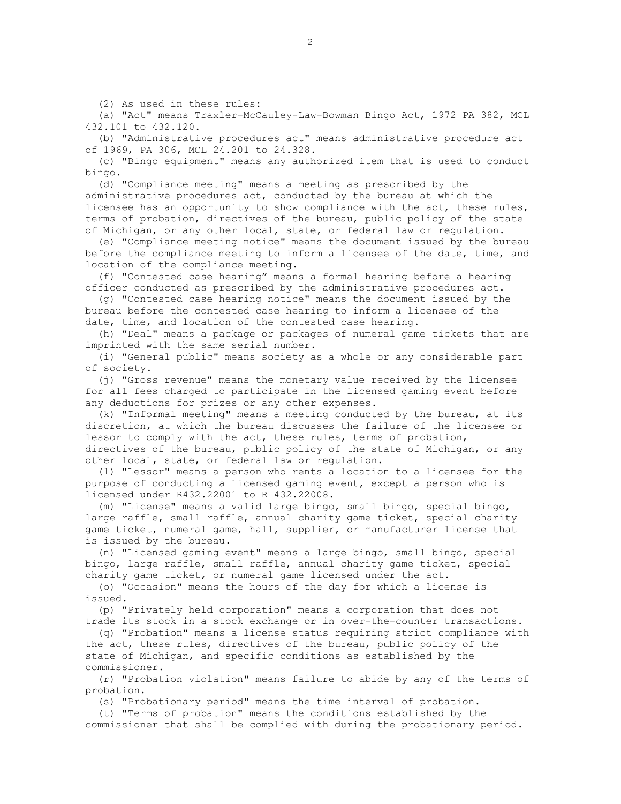(2) As used in these rules:

 (a) "Act" means Traxler-McCauley-Law-Bowman Bingo Act, 1972 PA 382, MCL 432.101 to 432.120.

 (b) "Administrative procedures act" means administrative procedure act of 1969, PA 306, MCL 24.201 to 24.328.

 (c) "Bingo equipment" means any authorized item that is used to conduct bingo.

 (d) "Compliance meeting" means a meeting as prescribed by the administrative procedures act, conducted by the bureau at which the licensee has an opportunity to show compliance with the act, these rules, terms of probation, directives of the bureau, public policy of the state of Michigan, or any other local, state, or federal law or regulation.

 (e) "Compliance meeting notice" means the document issued by the bureau before the compliance meeting to inform a licensee of the date, time, and location of the compliance meeting.

 (f) "Contested case hearing" means a formal hearing before a hearing officer conducted as prescribed by the administrative procedures act.

 (g) "Contested case hearing notice" means the document issued by the bureau before the contested case hearing to inform a licensee of the date, time, and location of the contested case hearing.

 (h) "Deal" means a package or packages of numeral game tickets that are imprinted with the same serial number.

 (i) "General public" means society as a whole or any considerable part of society.

 (j) "Gross revenue" means the monetary value received by the licensee for all fees charged to participate in the licensed gaming event before any deductions for prizes or any other expenses.

 (k) "Informal meeting" means a meeting conducted by the bureau, at its discretion, at which the bureau discusses the failure of the licensee or lessor to comply with the act, these rules, terms of probation, directives of the bureau, public policy of the state of Michigan, or any

other local, state, or federal law or regulation. (l) "Lessor" means a person who rents a location to a licensee for the

purpose of conducting a licensed gaming event, except a person who is licensed under R432.22001 to R 432.22008.

 (m) "License" means a valid large bingo, small bingo, special bingo, large raffle, small raffle, annual charity game ticket, special charity game ticket, numeral game, hall, supplier, or manufacturer license that is issued by the bureau.

 (n) "Licensed gaming event" means a large bingo, small bingo, special bingo, large raffle, small raffle, annual charity game ticket, special charity game ticket, or numeral game licensed under the act.

 (o) "Occasion" means the hours of the day for which a license is issued.

 (p) "Privately held corporation" means a corporation that does not trade its stock in a stock exchange or in over-the-counter transactions.

 (q) "Probation" means a license status requiring strict compliance with the act, these rules, directives of the bureau, public policy of the state of Michigan, and specific conditions as established by the commissioner.

 (r) "Probation violation" means failure to abide by any of the terms of probation.

(s) "Probationary period" means the time interval of probation.

 (t) "Terms of probation" means the conditions established by the commissioner that shall be complied with during the probationary period.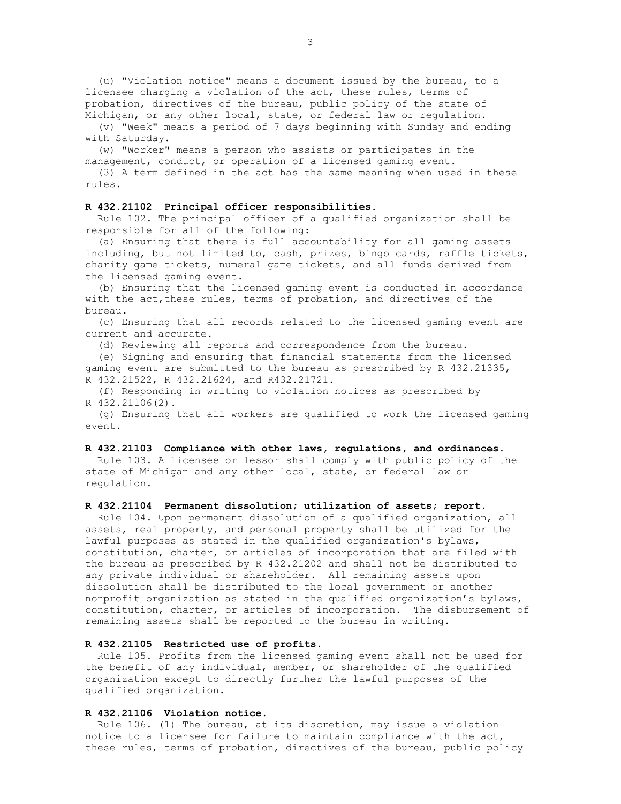(u) "Violation notice" means a document issued by the bureau, to a licensee charging a violation of the act, these rules, terms of probation, directives of the bureau, public policy of the state of Michigan, or any other local, state, or federal law or regulation.

 (v) "Week" means a period of 7 days beginning with Sunday and ending with Saturday.

 (w) "Worker" means a person who assists or participates in the management, conduct, or operation of a licensed gaming event.

 (3) A term defined in the act has the same meaning when used in these rules.

### **R 432.21102 Principal officer responsibilities.**

Rule 102. The principal officer of a qualified organization shall be responsible for all of the following:

 (a) Ensuring that there is full accountability for all gaming assets including, but not limited to, cash, prizes, bingo cards, raffle tickets, charity game tickets, numeral game tickets, and all funds derived from the licensed gaming event.

 (b) Ensuring that the licensed gaming event is conducted in accordance with the act, these rules, terms of probation, and directives of the bureau.

 (c) Ensuring that all records related to the licensed gaming event are current and accurate.

(d) Reviewing all reports and correspondence from the bureau.

 (e) Signing and ensuring that financial statements from the licensed gaming event are submitted to the bureau as prescribed by R 432.21335, R 432.21522, R 432.21624, and R432.21721.

 (f) Responding in writing to violation notices as prescribed by R 432.21106(2).

 (g) Ensuring that all workers are qualified to work the licensed gaming event.

### **R 432.21103 Compliance with other laws, regulations, and ordinances.**

 Rule 103. A licensee or lessor shall comply with public policy of the state of Michigan and any other local, state, or federal law or regulation.

#### **R 432.21104 Permanent dissolution; utilization of assets; report.**

 Rule 104. Upon permanent dissolution of a qualified organization, all assets, real property, and personal property shall be utilized for the lawful purposes as stated in the qualified organization's bylaws, constitution, charter, or articles of incorporation that are filed with the bureau as prescribed by R 432.21202 and shall not be distributed to any private individual or shareholder. All remaining assets upon dissolution shall be distributed to the local government or another nonprofit organization as stated in the qualified organization's bylaws, constitution, charter, or articles of incorporation. The disbursement of remaining assets shall be reported to the bureau in writing.

## **R 432.21105 Restricted use of profits.**

 Rule 105. Profits from the licensed gaming event shall not be used for the benefit of any individual, member, or shareholder of the qualified organization except to directly further the lawful purposes of the qualified organization.

### **R 432.21106 Violation notice.**

 Rule 106. (1) The bureau, at its discretion, may issue a violation notice to a licensee for failure to maintain compliance with the act, these rules, terms of probation, directives of the bureau, public policy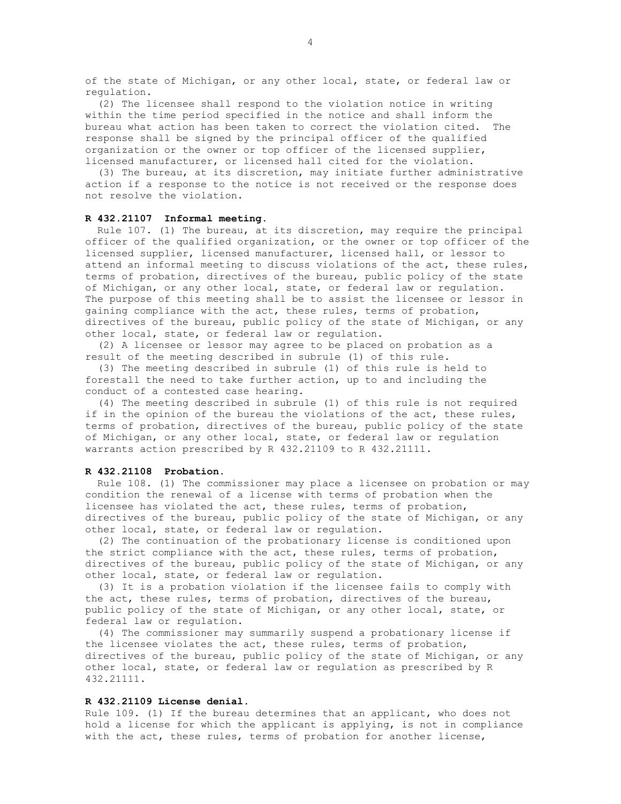of the state of Michigan, or any other local, state, or federal law or regulation.

 (2) The licensee shall respond to the violation notice in writing within the time period specified in the notice and shall inform the bureau what action has been taken to correct the violation cited. The response shall be signed by the principal officer of the qualified organization or the owner or top officer of the licensed supplier, licensed manufacturer, or licensed hall cited for the violation.

 (3) The bureau, at its discretion, may initiate further administrative action if a response to the notice is not received or the response does not resolve the violation.

### **R 432.21107 Informal meeting.**

 Rule 107. (1) The bureau, at its discretion, may require the principal officer of the qualified organization, or the owner or top officer of the licensed supplier, licensed manufacturer, licensed hall, or lessor to attend an informal meeting to discuss violations of the act, these rules, terms of probation, directives of the bureau, public policy of the state of Michigan, or any other local, state, or federal law or regulation. The purpose of this meeting shall be to assist the licensee or lessor in gaining compliance with the act, these rules, terms of probation, directives of the bureau, public policy of the state of Michigan, or any other local, state, or federal law or regulation.

 (2) A licensee or lessor may agree to be placed on probation as a result of the meeting described in subrule (1) of this rule.

 (3) The meeting described in subrule (1) of this rule is held to forestall the need to take further action, up to and including the conduct of a contested case hearing.

 (4) The meeting described in subrule (1) of this rule is not required if in the opinion of the bureau the violations of the act, these rules, terms of probation, directives of the bureau, public policy of the state of Michigan, or any other local, state, or federal law or regulation warrants action prescribed by R 432.21109 to R 432.21111.

### **R 432.21108 Probation.**

 Rule 108. (1) The commissioner may place a licensee on probation or may condition the renewal of a license with terms of probation when the licensee has violated the act, these rules, terms of probation, directives of the bureau, public policy of the state of Michigan, or any other local, state, or federal law or regulation.

 (2) The continuation of the probationary license is conditioned upon the strict compliance with the act, these rules, terms of probation, directives of the bureau, public policy of the state of Michigan, or any other local, state, or federal law or regulation.

 (3) It is a probation violation if the licensee fails to comply with the act, these rules, terms of probation, directives of the bureau, public policy of the state of Michigan, or any other local, state, or federal law or regulation.

 (4) The commissioner may summarily suspend a probationary license if the licensee violates the act, these rules, terms of probation, directives of the bureau, public policy of the state of Michigan, or any other local, state, or federal law or regulation as prescribed by R 432.21111.

#### **R 432.21109 License denial.**

Rule 109. (1) If the bureau determines that an applicant, who does not hold a license for which the applicant is applying, is not in compliance with the act, these rules, terms of probation for another license,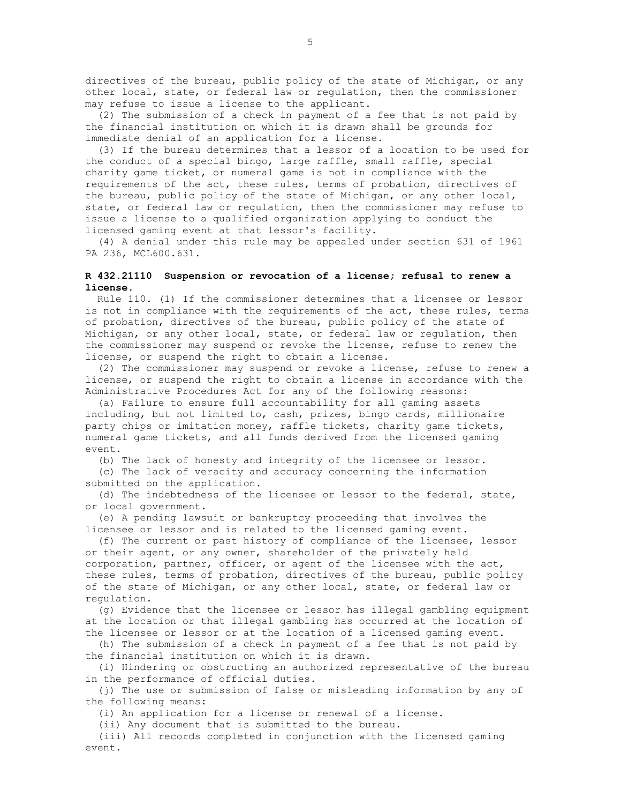directives of the bureau, public policy of the state of Michigan, or any other local, state, or federal law or regulation, then the commissioner may refuse to issue a license to the applicant.

 (2) The submission of a check in payment of a fee that is not paid by the financial institution on which it is drawn shall be grounds for immediate denial of an application for a license.

 (3) If the bureau determines that a lessor of a location to be used for the conduct of a special bingo, large raffle, small raffle, special charity game ticket, or numeral game is not in compliance with the requirements of the act, these rules, terms of probation, directives of the bureau, public policy of the state of Michigan, or any other local, state, or federal law or regulation, then the commissioner may refuse to issue a license to a qualified organization applying to conduct the licensed gaming event at that lessor's facility.

(4) A denial under this rule may be appealed under section 631 of 1961 PA 236, MCL600.631.

# **R 432.21110 Suspension or revocation of a license; refusal to renew a license.**

 Rule 110. (1) If the commissioner determines that a licensee or lessor is not in compliance with the requirements of the act, these rules, terms of probation, directives of the bureau, public policy of the state of Michigan, or any other local, state, or federal law or regulation, then the commissioner may suspend or revoke the license, refuse to renew the license, or suspend the right to obtain a license.

 (2) The commissioner may suspend or revoke a license, refuse to renew a license, or suspend the right to obtain a license in accordance with the Administrative Procedures Act for any of the following reasons:

 (a) Failure to ensure full accountability for all gaming assets including, but not limited to, cash, prizes, bingo cards, millionaire party chips or imitation money, raffle tickets, charity game tickets, numeral game tickets, and all funds derived from the licensed gaming event.

(b) The lack of honesty and integrity of the licensee or lessor.

 (c) The lack of veracity and accuracy concerning the information submitted on the application.

 (d) The indebtedness of the licensee or lessor to the federal, state, or local government.

 (e) A pending lawsuit or bankruptcy proceeding that involves the licensee or lessor and is related to the licensed gaming event.

 (f) The current or past history of compliance of the licensee, lessor or their agent, or any owner, shareholder of the privately held corporation, partner, officer, or agent of the licensee with the act, these rules, terms of probation, directives of the bureau, public policy of the state of Michigan, or any other local, state, or federal law or regulation.

 (g) Evidence that the licensee or lessor has illegal gambling equipment at the location or that illegal gambling has occurred at the location of the licensee or lessor or at the location of a licensed gaming event.

 (h) The submission of a check in payment of a fee that is not paid by the financial institution on which it is drawn.

 (i) Hindering or obstructing an authorized representative of the bureau in the performance of official duties.

 (j) The use or submission of false or misleading information by any of the following means:

(i) An application for a license or renewal of a license.

(ii) Any document that is submitted to the bureau.

 (iii) All records completed in conjunction with the licensed gaming event.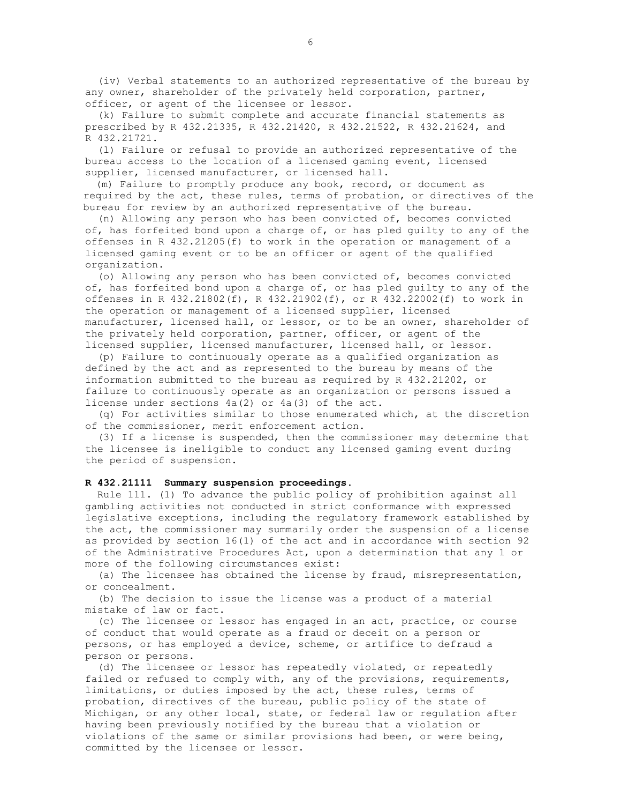(iv) Verbal statements to an authorized representative of the bureau by any owner, shareholder of the privately held corporation, partner, officer, or agent of the licensee or lessor.

 (k) Failure to submit complete and accurate financial statements as prescribed by R 432.21335, R 432.21420, R 432.21522, R 432.21624, and R 432.21721.

 (l) Failure or refusal to provide an authorized representative of the bureau access to the location of a licensed gaming event, licensed supplier, licensed manufacturer, or licensed hall.

 (m) Failure to promptly produce any book, record, or document as required by the act, these rules, terms of probation, or directives of the bureau for review by an authorized representative of the bureau.

 (n) Allowing any person who has been convicted of, becomes convicted of, has forfeited bond upon a charge of, or has pled guilty to any of the offenses in R 432.21205(f) to work in the operation or management of a licensed gaming event or to be an officer or agent of the qualified organization.

 (o) Allowing any person who has been convicted of, becomes convicted of, has forfeited bond upon a charge of, or has pled guilty to any of the offenses in R 432.21802(f), R 432.21902(f), or R 432.22002(f) to work in the operation or management of a licensed supplier, licensed manufacturer, licensed hall, or lessor, or to be an owner, shareholder of the privately held corporation, partner, officer, or agent of the licensed supplier, licensed manufacturer, licensed hall, or lessor.

 (p) Failure to continuously operate as a qualified organization as defined by the act and as represented to the bureau by means of the information submitted to the bureau as required by R 432.21202, or failure to continuously operate as an organization or persons issued a license under sections 4a(2) or 4a(3) of the act.

 (q) For activities similar to those enumerated which, at the discretion of the commissioner, merit enforcement action.

 (3) If a license is suspended, then the commissioner may determine that the licensee is ineligible to conduct any licensed gaming event during the period of suspension.

## **R 432.21111 Summary suspension proceedings.**

 Rule 111. (1) To advance the public policy of prohibition against all gambling activities not conducted in strict conformance with expressed legislative exceptions, including the regulatory framework established by the act, the commissioner may summarily order the suspension of a license as provided by section 16(1) of the act and in accordance with section 92 of the Administrative Procedures Act, upon a determination that any 1 or more of the following circumstances exist:

 (a) The licensee has obtained the license by fraud, misrepresentation, or concealment.

 (b) The decision to issue the license was a product of a material mistake of law or fact.

 (c) The licensee or lessor has engaged in an act, practice, or course of conduct that would operate as a fraud or deceit on a person or persons, or has employed a device, scheme, or artifice to defraud a person or persons.

 (d) The licensee or lessor has repeatedly violated, or repeatedly failed or refused to comply with, any of the provisions, requirements, limitations, or duties imposed by the act, these rules, terms of probation, directives of the bureau, public policy of the state of Michigan, or any other local, state, or federal law or regulation after having been previously notified by the bureau that a violation or violations of the same or similar provisions had been, or were being, committed by the licensee or lessor.